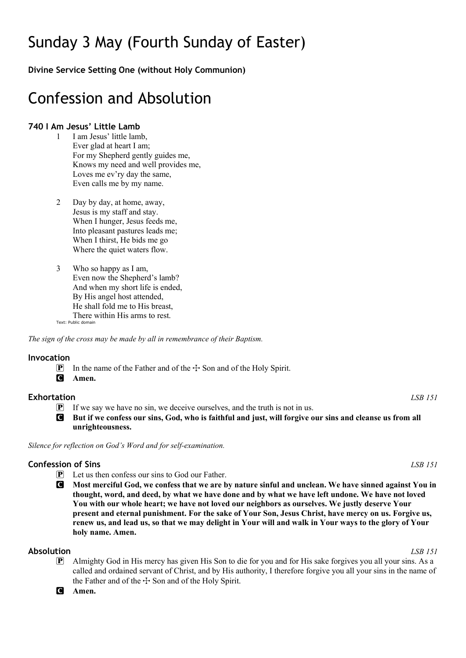# Sunday 3 May (Fourth Sunday of Easter)

**Divine Service Setting One (without Holy Communion)**

# Confession and Absolution

# **740 I Am Jesus' Little Lamb**

- 1 I am Jesus' little lamb. Ever glad at heart I am; For my Shepherd gently guides me, Knows my need and well provides me, Loves me ev'ry day the same, Even calls me by my name.
- 2 Day by day, at home, away, Jesus is my staff and stay. When I hunger, Jesus feeds me, Into pleasant pastures leads me; When I thirst, He bids me go Where the quiet waters flow.
- 3 Who so happy as I am, Even now the Shepherd's lamb? And when my short life is ended, By His angel host attended, He shall fold me to His breast, There within His arms to rest.

Text: Public domain

*The sign of the cross may be made by all in remembrance of their Baptism.*

#### **Invocation**

**P** In the name of the Father and of the  $\pm$  Son and of the Holy Spirit.

C **Amen.**

### **Exhortation** *LSB 151*

- $\mathbf{P}$  If we say we have no sin, we deceive ourselves, and the truth is not in us.
- C **But if we confess our sins, God, who is faithful and just, will forgive our sins and cleanse us from all unrighteousness.**

*Silence for reflection on God's Word and for self-examination.*

### **Confession of Sins** *LSB 151*

- P Let us then confess our sins to God our Father.
- C **Most merciful God, we confess that we are by nature sinful and unclean. We have sinned against You in thought, word, and deed, by what we have done and by what we have left undone. We have not loved You with our whole heart; we have not loved our neighbors as ourselves. We justly deserve Your present and eternal punishment. For the sake of Your Son, Jesus Christ, have mercy on us. Forgive us, renew us, and lead us, so that we may delight in Your will and walk in Your ways to the glory of Your holy name. Amen.**

### **Absolution** *LSB 151*

P Almighty God in His mercy has given His Son to die for you and for His sake forgives you all your sins. As a called and ordained servant of Christ, and by His authority, I therefore forgive you all your sins in the name of the Father and of the  $+$  Son and of the Holy Spirit.

C **Amen.**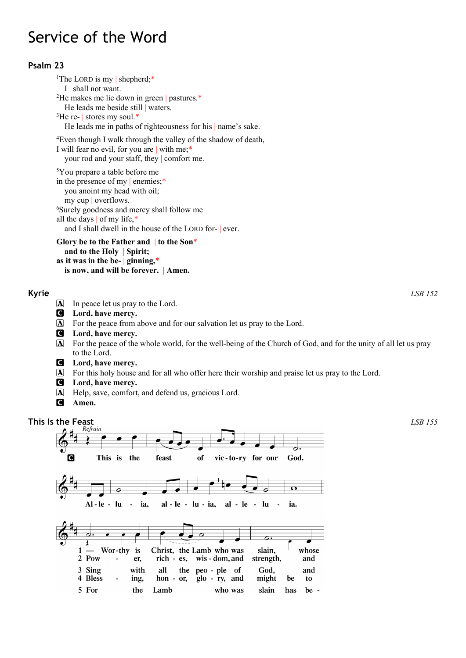# Service of the Word

# **Psalm 23**

<sup>1</sup>The LORD is my | shepherd;\* I shall not want. <sup>2</sup>He makes me lie down in green | pastures.\* He leads me beside still waters. 3 He re- | stores my soul.\* He leads me in paths of righteousness for his | name's sake. 4 Even though I walk through the valley of the shadow of death,

I will fear no evil, for you are | with me;\* your rod and your staff, they | comfort me.

5You prepare a table before me in the presence of my | enemies;\* you anoint my head with oil; my cup | overflows. 6Surely goodness and mercy shall follow me all the days | of my life,\* and I shall dwell in the house of the LORD for- | ever.

**Glory be to the Father and** | **to the Son**\* **and to the Holy** | **Spirit; as it was in the be-** | **ginning,**\* **is now, and will be forever.** | **Amen.**

# **Kyrie** *LSB 152*

A In peace let us pray to the Lord.

- C **Lord, have mercy.**
- A For the peace from above and for our salvation let us pray to the Lord.
- C **Lord, have mercy.**
- A For the peace of the whole world, for the well-being of the Church of God, and for the unity of all let us pray to the Lord.
- C **Lord, have mercy.**
- A For this holy house and for all who offer here their worship and praise let us pray to the Lord.
- C **Lord, have mercy.**
- A Help, save, comfort, and defend us, gracious Lord.
- C **Amen.**



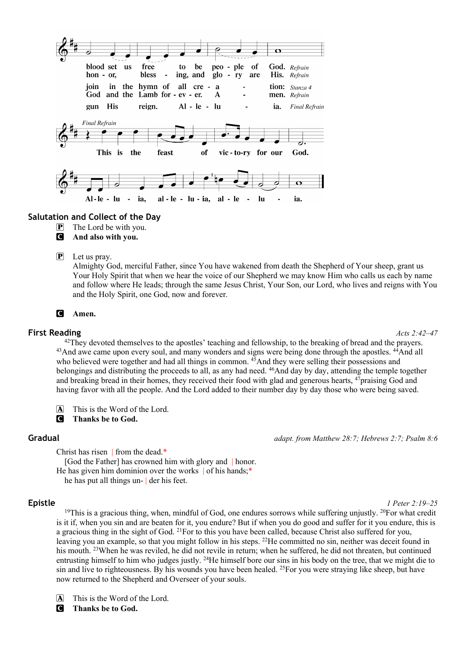

### **Salutation and Collect of the Day**

- $\mathbf{P}$  The Lord be with you.
- C **And also with you.**

#### $\boxed{\mathbf{P}}$  Let us pray.

Almighty God, merciful Father, since You have wakened from death the Shepherd of Your sheep, grant us Your Holy Spirit that when we hear the voice of our Shepherd we may know Him who calls us each by name and follow where He leads; through the same Jesus Christ, Your Son, our Lord, who lives and reigns with You and the Holy Spirit, one God, now and forever.

#### C **Amen.**

#### **First Reading** *Acts 2:42–47*

<sup>42</sup>They devoted themselves to the apostles' teaching and fellowship, to the breaking of bread and the prayers. <sup>43</sup>And awe came upon every soul, and many wonders and signs were being done through the apostles. <sup>44</sup>And all who believed were together and had all things in common. <sup>45</sup>And they were selling their possessions and belongings and distributing the proceeds to all, as any had need. <sup>46</sup>And day by day, attending the temple together and breaking bread in their homes, they received their food with glad and generous hearts, <sup>47</sup>praising God and having favor with all the people. And the Lord added to their number day by day those who were being saved.

A This is the Word of the Lord.

C **Thanks be to God.**

#### **Gradual** *adapt. from Matthew 28:7; Hebrews 2:7; Psalm 8:6*

Christ has risen | from the dead.\*

[God the Father] has crowned him with glory and | honor. He has given him dominion over the works | of his hands;\* he has put all things un- | der his feet.

**Epistle** *1 Peter 2:19–25*

<sup>19</sup>This is a gracious thing, when, mindful of God, one endures sorrows while suffering unjustly. <sup>20</sup>For what credit is it if, when you sin and are beaten for it, you endure? But if when you do good and suffer for it you endure, this is a gracious thing in the sight of God. 21For to this you have been called, because Christ also suffered for you, leaving you an example, so that you might follow in his steps. 22He committed no sin, neither was deceit found in his mouth. 23When he was reviled, he did not revile in return; when he suffered, he did not threaten, but continued entrusting himself to him who judges justly. 24He himself bore our sins in his body on the tree, that we might die to sin and live to righteousness. By his wounds you have been healed. <sup>25</sup>For you were straying like sheep, but have now returned to the Shepherd and Overseer of your souls.

A This is the Word of the Lord.

C **Thanks be to God.**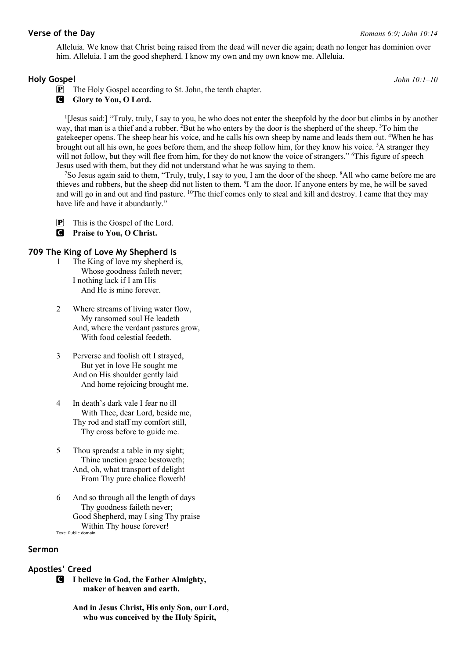Alleluia. We know that Christ being raised from the dead will never die again; death no longer has dominion over him. Alleluia. I am the good shepherd. I know my own and my own know me. Alleluia.

#### **Holy Gospel** *John 10:1–10*

P The Holy Gospel according to St. John, the tenth chapter.

**G** Glory to You, O Lord.

1[Jesus said:] "Truly, truly, I say to you, he who does not enter the sheepfold by the door but climbs in by another way, that man is a thief and a robber. <sup>2</sup>But he who enters by the door is the shepherd of the sheep. <sup>3</sup>To him the gatekeeper opens. The sheep hear his voice, and he calls his own sheep by name and leads them out. <sup>4</sup>When he has brought out all his own, he goes before them, and the sheep follow him, for they know his voice. <sup>5</sup>A stranger they will not follow, but they will flee from him, for they do not know the voice of strangers." <sup>6</sup>This figure of speech Jesus used with them, but they did not understand what he was saying to them.

7 So Jesus again said to them, "Truly, truly, I say to you, I am the door of the sheep. 8All who came before me are thieves and robbers, but the sheep did not listen to them. 9I am the door. If anyone enters by me, he will be saved and will go in and out and find pasture. <sup>10</sup>The thief comes only to steal and kill and destroy. I came that they may have life and have it abundantly."

P This is the Gospel of the Lord.

C **Praise to You, O Christ.**

#### **709 The King of Love My Shepherd Is**

- 1 The King of love my shepherd is, Whose goodness faileth never; I nothing lack if I am His And He is mine forever.
- 2 Where streams of living water flow, My ransomed soul He leadeth And, where the verdant pastures grow, With food celestial feedeth.
- 3 Perverse and foolish oft I strayed, But yet in love He sought me And on His shoulder gently laid And home rejoicing brought me.
- 4 In death's dark vale I fear no ill With Thee, dear Lord, beside me, Thy rod and staff my comfort still, Thy cross before to guide me.
- 5 Thou spreadst a table in my sight; Thine unction grace bestoweth; And, oh, what transport of delight From Thy pure chalice floweth!
- 6 And so through all the length of days Thy goodness faileth never; Good Shepherd, may I sing Thy praise Within Thy house forever! Text: Public domain

### **Sermon**

# **Apostles' Creed**

- C **I believe in God, the Father Almighty, maker of heaven and earth.**
	- **And in Jesus Christ, His only Son, our Lord, who was conceived by the Holy Spirit,**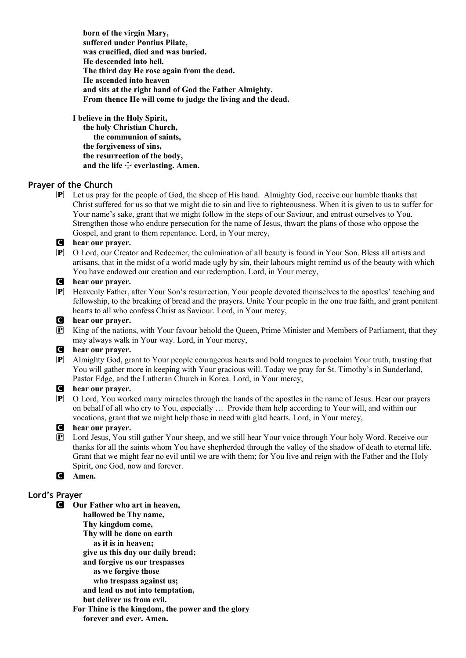**born of the virgin Mary, suffered under Pontius Pilate, was crucified, died and was buried. He descended into hell. The third day He rose again from the dead. He ascended into heaven and sits at the right hand of God the Father Almighty. From thence He will come to judge the living and the dead.**

**I believe in the Holy Spirit, the holy Christian Church, the communion of saints, the forgiveness of sins, the resurrection of the body,** and the life  $\dagger$  everlasting. Amen.

# **Prayer of the Church**

P Let us pray for the people of God, the sheep of His hand. Almighty God, receive our humble thanks that Christ suffered for us so that we might die to sin and live to righteousness. When it is given to us to suffer for Your name's sake, grant that we might follow in the steps of our Saviour, and entrust ourselves to You. Strengthen those who endure persecution for the name of Jesus, thwart the plans of those who oppose the Gospel, and grant to them repentance. Lord, in Your mercy,

#### C **hear our prayer.**

P O Lord, our Creator and Redeemer, the culmination of all beauty is found in Your Son. Bless all artists and artisans, that in the midst of a world made ugly by sin, their labours might remind us of the beauty with which You have endowed our creation and our redemption. Lord, in Your mercy,

#### C **hear our prayer.**

P Heavenly Father, after Your Son's resurrection, Your people devoted themselves to the apostles' teaching and fellowship, to the breaking of bread and the prayers. Unite Your people in the one true faith, and grant penitent hearts to all who confess Christ as Saviour. Lord, in Your mercy,

#### C **hear our prayer.**

P King of the nations, with Your favour behold the Queen, Prime Minister and Members of Parliament, that they may always walk in Your way. Lord, in Your mercy,

# C **hear our prayer.**

P Almighty God, grant to Your people courageous hearts and bold tongues to proclaim Your truth, trusting that You will gather more in keeping with Your gracious will. Today we pray for St. Timothy's in Sunderland, Pastor Edge, and the Lutheran Church in Korea. Lord, in Your mercy,

# **C** hear our prayer.<br> **P** O Lord. You work

P O Lord, You worked many miracles through the hands of the apostles in the name of Jesus. Hear our prayers on behalf of all who cry to You, especially … Provide them help according to Your will, and within our vocations, grant that we might help those in need with glad hearts. Lord, in Your mercy,

#### C **hear our prayer.**

P Lord Jesus, You still gather Your sheep, and we still hear Your voice through Your holy Word. Receive our thanks for all the saints whom You have shepherded through the valley of the shadow of death to eternal life. Grant that we might fear no evil until we are with them; for You live and reign with the Father and the Holy Spirit, one God, now and forever.

# C **Amen.**

### **Lord's Prayer**

- C **Our Father who art in heaven,**
	- **hallowed be Thy name,**
	- **Thy kingdom come,**
	- **Thy will be done on earth**
	- **as it is in heaven;**
	- **give us this day our daily bread;**
	- **and forgive us our trespasses**
	- **as we forgive those**
	- **who trespass against us;**
	- **and lead us not into temptation,**
	- **but deliver us from evil.**
	- **For Thine is the kingdom, the power and the glory forever and ever. Amen.**